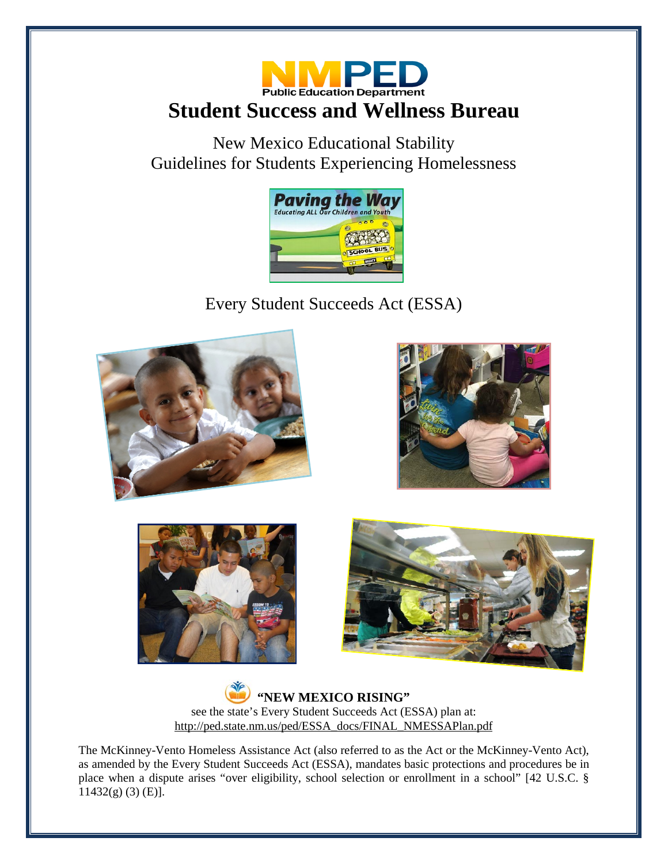

New Mexico Educational Stability Guidelines for Students Experiencing Homelessness



Every Student Succeeds Act (ESSA)









**"NEW MEXICO RISING"** see the state's Every Student Succeeds Act (ESSA) plan at: [http://ped.state.nm.us/ped/ESSA\\_docs/FINAL\\_NMESSAPlan.pdf](http://ped.state.nm.us/ped/ESSA_docs/FINAL_NMESSAPlan.pdf)

The McKinney-Vento Homeless Assistance Act (also referred to as the Act or the McKinney-Vento Act), as amended by the Every Student Succeeds Act (ESSA), mandates basic protections and procedures be in place when a dispute arises "over eligibility, school selection or enrollment in a school" [42 U.S.C. §  $11432(g)$  (3) (E)].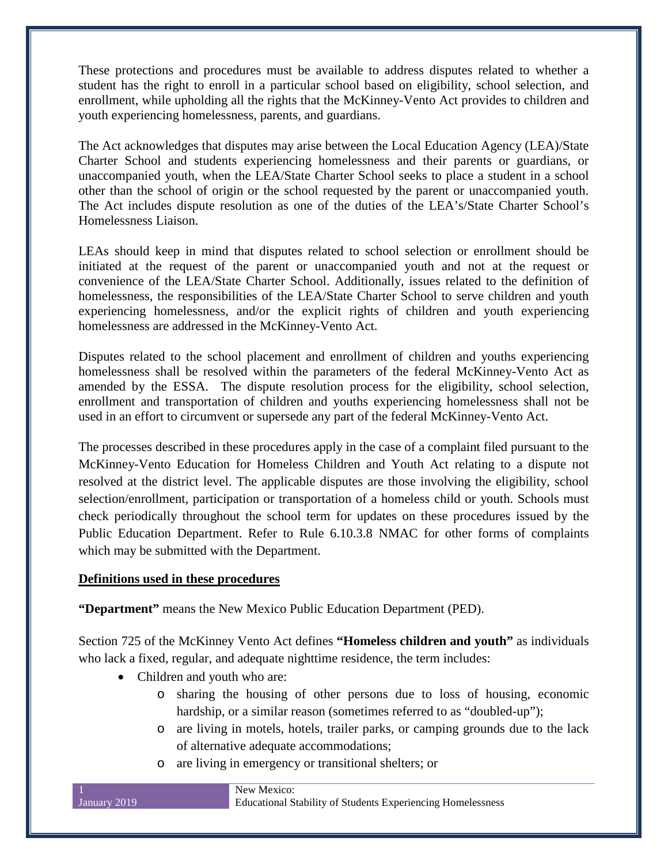These protections and procedures must be available to address disputes related to whether a student has the right to enroll in a particular school based on eligibility, school selection, and enrollment, while upholding all the rights that the McKinney-Vento Act provides to children and youth experiencing homelessness, parents, and guardians.

The Act acknowledges that disputes may arise between the Local Education Agency (LEA)/State Charter School and students experiencing homelessness and their parents or guardians, or unaccompanied youth, when the LEA/State Charter School seeks to place a student in a school other than the school of origin or the school requested by the parent or unaccompanied youth. The Act includes dispute resolution as one of the duties of the LEA's/State Charter School's Homelessness Liaison.

LEAs should keep in mind that disputes related to school selection or enrollment should be initiated at the request of the parent or unaccompanied youth and not at the request or convenience of the LEA/State Charter School. Additionally, issues related to the definition of homelessness, the responsibilities of the LEA/State Charter School to serve children and youth experiencing homelessness, and/or the explicit rights of children and youth experiencing homelessness are addressed in the McKinney-Vento Act.

Disputes related to the school placement and enrollment of children and youths experiencing homelessness shall be resolved within the parameters of the federal McKinney-Vento Act as amended by the ESSA. The dispute resolution process for the eligibility, school selection, enrollment and transportation of children and youths experiencing homelessness shall not be used in an effort to circumvent or supersede any part of the federal McKinney-Vento Act.

The processes described in these procedures apply in the case of a complaint filed pursuant to the McKinney-Vento Education for Homeless Children and Youth Act relating to a dispute not resolved at the district level. The applicable disputes are those involving the eligibility, school selection/enrollment, participation or transportation of a homeless child or youth. Schools must check periodically throughout the school term for updates on these procedures issued by the Public Education Department. Refer to Rule 6.10.3.8 NMAC for other forms of complaints which may be submitted with the Department.

## **Definitions used in these procedures**

**"Department"** means the New Mexico Public Education Department (PED).

Section 725 of the McKinney Vento Act defines **"Homeless children and youth"** as individuals who lack a fixed, regular, and adequate nighttime residence, the term includes:

- Children and youth who are:
	- o sharing the housing of other persons due to loss of housing, economic hardship, or a similar reason (sometimes referred to as "doubled-up");
	- o are living in motels, hotels, trailer parks, or camping grounds due to the lack of alternative adequate accommodations;
	- o are living in emergency or transitional shelters; or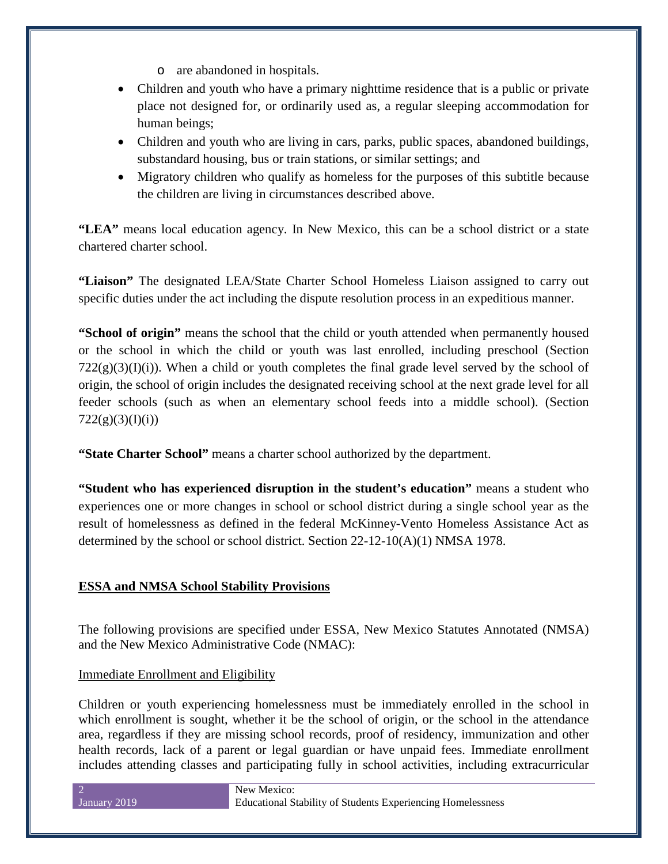- o are abandoned in hospitals.
- Children and youth who have a primary nighttime residence that is a public or private place not designed for, or ordinarily used as, a regular sleeping accommodation for human beings;
- Children and youth who are living in cars, parks, public spaces, abandoned buildings, substandard housing, bus or train stations, or similar settings; and
- Migratory children who qualify as homeless for the purposes of this subtitle because the children are living in circumstances described above.

**"LEA"** means local education agency. In New Mexico, this can be a school district or a state chartered charter school.

**"Liaison"** The designated LEA/State Charter School Homeless Liaison assigned to carry out specific duties under the act including the dispute resolution process in an expeditious manner.

**"School of origin"** means the school that the child or youth attended when permanently housed or the school in which the child or youth was last enrolled, including preschool (Section  $722(g)(3)(I)(i)$ ). When a child or youth completes the final grade level served by the school of origin, the school of origin includes the designated receiving school at the next grade level for all feeder schools (such as when an elementary school feeds into a middle school). (Section  $722(g)(3)(I)(i))$ 

**"State Charter School"** means a charter school authorized by the department.

**"Student who has experienced disruption in the student's education"** means a student who experiences one or more changes in school or school district during a single school year as the result of homelessness as defined in the federal McKinney-Vento Homeless Assistance Act as determined by the school or school district. Section 22-12-10(A)(1) NMSA 1978.

# **ESSA and NMSA School Stability Provisions**

The following provisions are specified under ESSA, New Mexico Statutes Annotated (NMSA) and the New Mexico Administrative Code (NMAC):

# Immediate Enrollment and Eligibility

Children or youth experiencing homelessness must be immediately enrolled in the school in which enrollment is sought, whether it be the school of origin, or the school in the attendance area, regardless if they are missing school records, proof of residency, immunization and other health records, lack of a parent or legal guardian or have unpaid fees. Immediate enrollment includes attending classes and participating fully in school activities, including extracurricular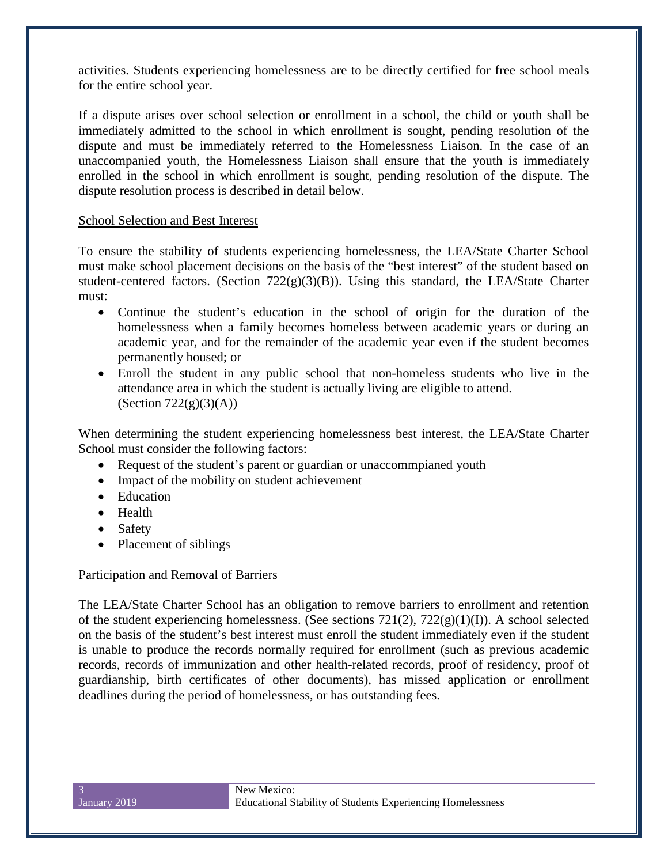activities. Students experiencing homelessness are to be directly certified for free school meals for the entire school year.

If a dispute arises over school selection or enrollment in a school, the child or youth shall be immediately admitted to the school in which enrollment is sought, pending resolution of the dispute and must be immediately referred to the Homelessness Liaison. In the case of an unaccompanied youth, the Homelessness Liaison shall ensure that the youth is immediately enrolled in the school in which enrollment is sought, pending resolution of the dispute. The dispute resolution process is described in detail below.

### School Selection and Best Interest

To ensure the stability of students experiencing homelessness, the LEA/State Charter School must make school placement decisions on the basis of the "best interest" of the student based on student-centered factors. (Section  $722(g)(3)(B)$ ). Using this standard, the LEA/State Charter must:

- Continue the student's education in the school of origin for the duration of the homelessness when a family becomes homeless between academic years or during an academic year, and for the remainder of the academic year even if the student becomes permanently housed; or
- Enroll the student in any public school that non-homeless students who live in the attendance area in which the student is actually living are eligible to attend.  $(Section 722(g)(3)(A))$

When determining the student experiencing homelessness best interest, the LEA/State Charter School must consider the following factors:

- Request of the student's parent or guardian or unaccommpianed youth
- Impact of the mobility on student achievement
- Education
- Health
- Safety
- Placement of siblings

## Participation and Removal of Barriers

The LEA/State Charter School has an obligation to remove barriers to enrollment and retention of the student experiencing homelessness. (See sections 721(2), 722(g)(1)(I)). A school selected on the basis of the student's best interest must enroll the student immediately even if the student is unable to produce the records normally required for enrollment (such as previous academic records, records of immunization and other health-related records, proof of residency, proof of guardianship, birth certificates of other documents), has missed application or enrollment deadlines during the period of homelessness, or has outstanding fees.

3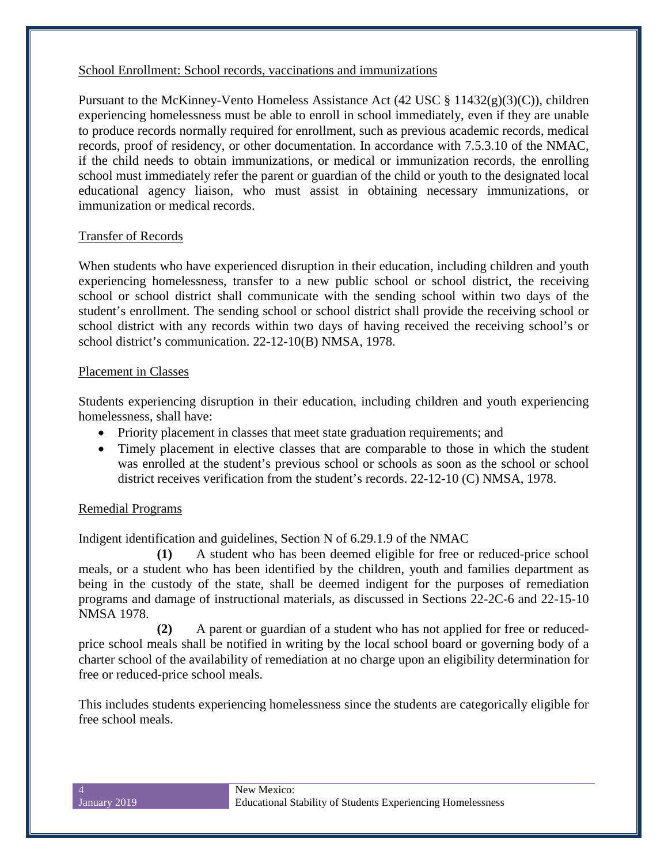### School Enrollment: School records, vaccinations and immunizations

Pursuant to the McKinney-Vento Homeless Assistance Act  $(42 \text{ USC} \text{ } \text{\&} 11432(g)(3)(C))$ , children experiencing homelessness must be able to enroll in school immediately, even if they are unable to produce records normally required for enrollment, such as previous academic records, medical records, proof of residency, or other documentation. In accordance with 7.5.3.10 of the NMAC, if the child needs to obtain immunizations, or medical or immunization records, the enrolling school must immediately refer the parent or guardian of the child or youth to the designated local educational agency liaison, who must assist in obtaining necessary immunizations, or immunization or medical records.

## Transfer of Records

When students who have experienced disruption in their education, including children and youth experiencing homelessness, transfer to a new public school or school district, the receiving school or school district shall communicate with the sending school within two days of the student's enrollment. The sending school or school district shall provide the receiving school or school district with any records within two days of having received the receiving school's or school district's communication. 22-12-10(B) NMSA, 1978.

### Placement in Classes

Students experiencing disruption in their education, including children and youth experiencing homelessness, shall have:

- Priority placement in classes that meet state graduation requirements; and
- Timely placement in elective classes that are comparable to those in which the student was enrolled at the student's previous school or schools as soon as the school or school district receives verification from the student's records. 22-12-10 (C) NMSA, 1978.

## Remedial Programs

Indigent identification and guidelines, Section N of 6.29.1.9 of the NMAC

**(1)** A student who has been deemed eligible for free or reduced-price school meals, or a student who has been identified by the children, youth and families department as being in the custody of the state, shall be deemed indigent for the purposes of remediation programs and damage of instructional materials, as discussed in Sections 22-2C-6 and 22-15-10 NMSA 1978.

**(2)** A parent or guardian of a student who has not applied for free or reducedprice school meals shall be notified in writing by the local school board or governing body of a charter school of the availability of remediation at no charge upon an eligibility determination for free or reduced-price school meals.

This includes students experiencing homelessness since the students are categorically eligible for free school meals.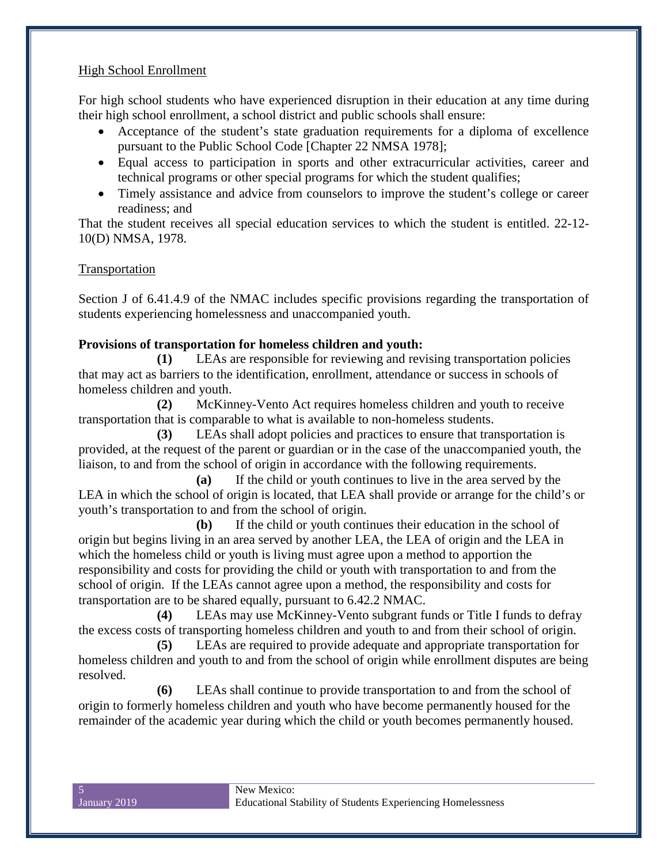## High School Enrollment

For high school students who have experienced disruption in their education at any time during their high school enrollment, a school district and public schools shall ensure:

- Acceptance of the student's state graduation requirements for a diploma of excellence pursuant to the Public School Code [Chapter 22 NMSA 1978];
- Equal access to participation in sports and other extracurricular activities, career and technical programs or other special programs for which the student qualifies;
- Timely assistance and advice from counselors to improve the student's college or career readiness; and

That the student receives all special education services to which the student is entitled. 22-12- 10(D) NMSA, 1978.

## **Transportation**

Section J of 6.41.4.9 of the NMAC includes specific provisions regarding the transportation of students experiencing homelessness and unaccompanied youth.

## **Provisions of transportation for homeless children and youth:**

**(1)** LEAs are responsible for reviewing and revising transportation policies that may act as barriers to the identification, enrollment, attendance or success in schools of homeless children and youth.

**(2)** McKinney-Vento Act requires homeless children and youth to receive transportation that is comparable to what is available to non-homeless students.

**(3)** LEAs shall adopt policies and practices to ensure that transportation is provided, at the request of the parent or guardian or in the case of the unaccompanied youth, the liaison, to and from the school of origin in accordance with the following requirements.

**(a)** If the child or youth continues to live in the area served by the LEA in which the school of origin is located, that LEA shall provide or arrange for the child's or youth's transportation to and from the school of origin.

**(b)** If the child or youth continues their education in the school of origin but begins living in an area served by another LEA, the LEA of origin and the LEA in which the homeless child or youth is living must agree upon a method to apportion the responsibility and costs for providing the child or youth with transportation to and from the school of origin. If the LEAs cannot agree upon a method, the responsibility and costs for transportation are to be shared equally, pursuant to 6.42.2 NMAC.

**(4)** LEAs may use McKinney-Vento subgrant funds or Title I funds to defray the excess costs of transporting homeless children and youth to and from their school of origin.

**(5)** LEAs are required to provide adequate and appropriate transportation for homeless children and youth to and from the school of origin while enrollment disputes are being resolved.

**(6)** LEAs shall continue to provide transportation to and from the school of origin to formerly homeless children and youth who have become permanently housed for the remainder of the academic year during which the child or youth becomes permanently housed.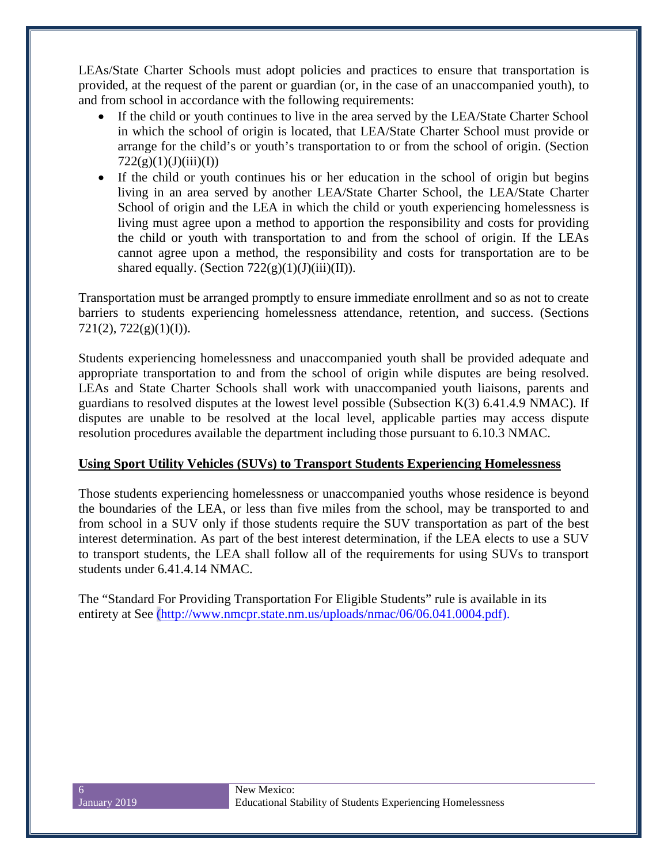LEAs/State Charter Schools must adopt policies and practices to ensure that transportation is provided, at the request of the parent or guardian (or, in the case of an unaccompanied youth), to and from school in accordance with the following requirements:

- If the child or youth continues to live in the area served by the LEA/State Charter School in which the school of origin is located, that LEA/State Charter School must provide or arrange for the child's or youth's transportation to or from the school of origin. (Section  $722(g)(1)(J)(iii)(I))$
- If the child or youth continues his or her education in the school of origin but begins living in an area served by another LEA/State Charter School, the LEA/State Charter School of origin and the LEA in which the child or youth experiencing homelessness is living must agree upon a method to apportion the responsibility and costs for providing the child or youth with transportation to and from the school of origin. If the LEAs cannot agree upon a method, the responsibility and costs for transportation are to be shared equally. (Section  $722(g)(1)(J)(iii)(II)$ ).

Transportation must be arranged promptly to ensure immediate enrollment and so as not to create barriers to students experiencing homelessness attendance, retention, and success. (Sections  $721(2), 722(g)(1)(I)$ .

Students experiencing homelessness and unaccompanied youth shall be provided adequate and appropriate transportation to and from the school of origin while disputes are being resolved. LEAs and State Charter Schools shall work with unaccompanied youth liaisons, parents and guardians to resolved disputes at the lowest level possible (Subsection K(3) 6.41.4.9 NMAC). If disputes are unable to be resolved at the local level, applicable parties may access dispute resolution procedures available the department including those pursuant to 6.10.3 NMAC.

## **Using Sport Utility Vehicles (SUVs) to Transport Students Experiencing Homelessness**

Those students experiencing homelessness or unaccompanied youths whose residence is beyond the boundaries of the LEA, or less than five miles from the school, may be transported to and from school in a SUV only if those students require the SUV transportation as part of the best interest determination. As part of the best interest determination, if the LEA elects to use a SUV to transport students, the LEA shall follow all of the requirements for using SUVs to transport students under 6.41.4.14 NMAC.

The "Standard For Providing Transportation For Eligible Students" rule is available in its entirety at See [\(http://www.nmcpr.state.nm.us/uploads/nmac/06/06.041.0004.pdf\)](http://www.nmcpr.state.nm.us/uploads/nmac/06/06.041.0004.pdf).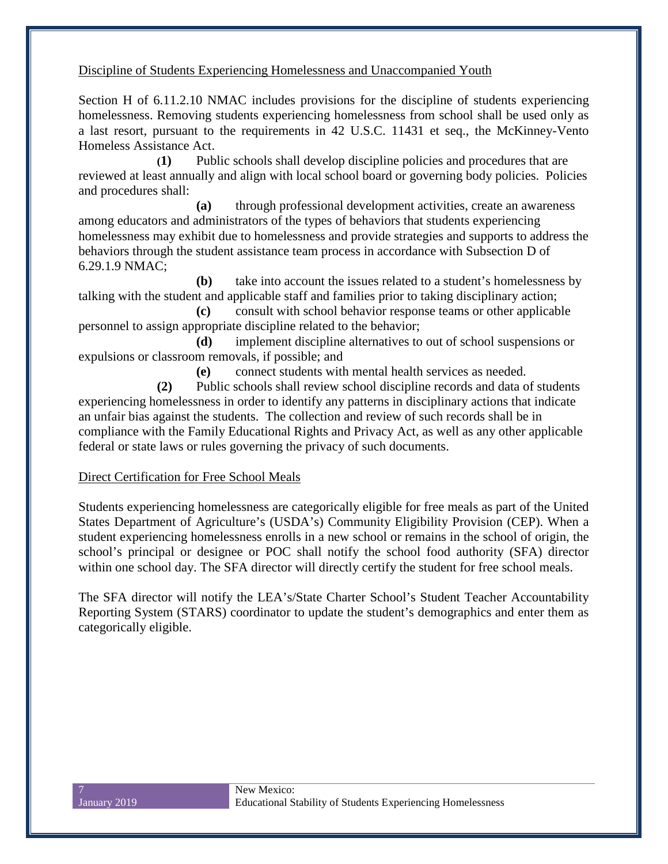## Discipline of Students Experiencing Homelessness and Unaccompanied Youth

Section H of 6.11.2.10 NMAC includes provisions for the discipline of students experiencing homelessness. Removing students experiencing homelessness from school shall be used only as a last resort, pursuant to the requirements in 42 U.S.C. 11431 et seq., the McKinney-Vento Homeless Assistance Act.

**(1)** Public schools shall develop discipline policies and procedures that are reviewed at least annually and align with local school board or governing body policies. Policies and procedures shall:

**(a)** through professional development activities, create an awareness among educators and administrators of the types of behaviors that students experiencing homelessness may exhibit due to homelessness and provide strategies and supports to address the behaviors through the student assistance team process in accordance with Subsection D of 6.29.1.9 NMAC;

**(b)** take into account the issues related to a student's homelessness by talking with the student and applicable staff and families prior to taking disciplinary action;

**(c)** consult with school behavior response teams or other applicable personnel to assign appropriate discipline related to the behavior;

**(d)** implement discipline alternatives to out of school suspensions or expulsions or classroom removals, if possible; and

**(e)** connect students with mental health services as needed.

**(2)** Public schools shall review school discipline records and data of students experiencing homelessness in order to identify any patterns in disciplinary actions that indicate an unfair bias against the students. The collection and review of such records shall be in compliance with the Family Educational Rights and Privacy Act, as well as any other applicable federal or state laws or rules governing the privacy of such documents.

## Direct Certification for Free School Meals

Students experiencing homelessness are categorically eligible for free meals as part of the United States Department of Agriculture's (USDA's) Community Eligibility Provision (CEP). When a student experiencing homelessness enrolls in a new school or remains in the school of origin, the school's principal or designee or POC shall notify the school food authority (SFA) director within one school day. The SFA director will directly certify the student for free school meals.

The SFA director will notify the LEA's/State Charter School's Student Teacher Accountability Reporting System (STARS) coordinator to update the student's demographics and enter them as categorically eligible.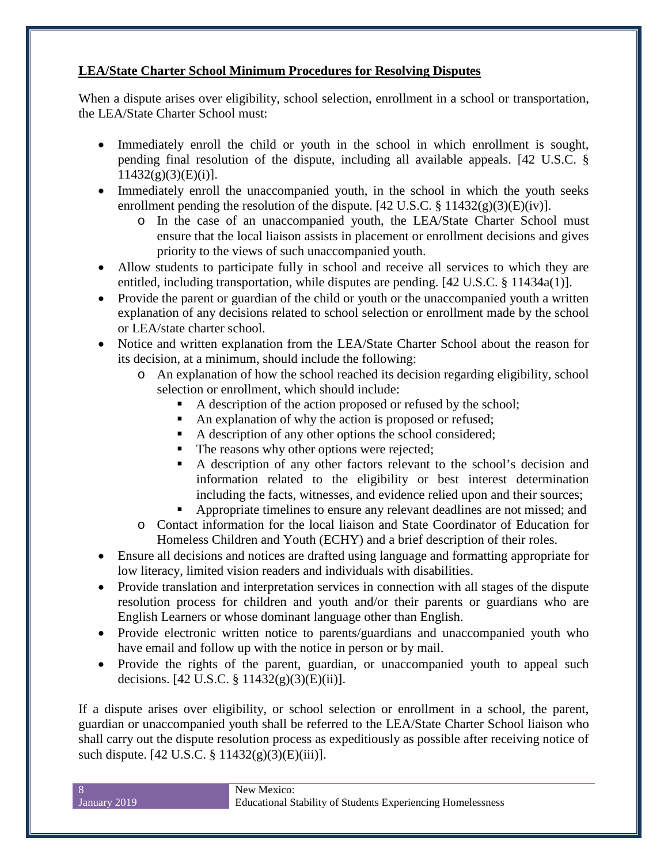# **LEA/State Charter School Minimum Procedures for Resolving Disputes**

When a dispute arises over eligibility, school selection, enrollment in a school or transportation, the LEA/State Charter School must:

- Immediately enroll the child or youth in the school in which enrollment is sought, pending final resolution of the dispute, including all available appeals. [42 U.S.C. §  $11432(g)(3)(E)(i)$ ].
- Immediately enroll the unaccompanied youth, in the school in which the youth seeks enrollment pending the resolution of the dispute. [42 U.S.C.  $\S$  11432(g)(3)(E)(iv)].
	- o In the case of an unaccompanied youth, the LEA/State Charter School must ensure that the local liaison assists in placement or enrollment decisions and gives priority to the views of such unaccompanied youth.
- Allow students to participate fully in school and receive all services to which they are entitled, including transportation, while disputes are pending. [42 U.S.C. § 11434a(1)].
- Provide the parent or guardian of the child or youth or the unaccompanied youth a written explanation of any decisions related to school selection or enrollment made by the school or LEA/state charter school.
- Notice and written explanation from the LEA/State Charter School about the reason for its decision, at a minimum, should include the following:
	- o An explanation of how the school reached its decision regarding eligibility, school selection or enrollment, which should include:
		- A description of the action proposed or refused by the school;
		- An explanation of why the action is proposed or refused;
		- A description of any other options the school considered;
		- The reasons why other options were rejected;
		- A description of any other factors relevant to the school's decision and information related to the eligibility or best interest determination including the facts, witnesses, and evidence relied upon and their sources;
		- Appropriate timelines to ensure any relevant deadlines are not missed; and
	- o Contact information for the local liaison and State Coordinator of Education for Homeless Children and Youth (ECHY) and a brief description of their roles.
- Ensure all decisions and notices are drafted using language and formatting appropriate for low literacy, limited vision readers and individuals with disabilities.
- Provide translation and interpretation services in connection with all stages of the dispute resolution process for children and youth and/or their parents or guardians who are English Learners or whose dominant language other than English.
- Provide electronic written notice to parents/guardians and unaccompanied youth who have email and follow up with the notice in person or by mail.
- Provide the rights of the parent, guardian, or unaccompanied youth to appeal such decisions.  $[42 \text{ U.S.C.} \$   $11432(g)(3)(E)(ii)].$

If a dispute arises over eligibility, or school selection or enrollment in a school, the parent, guardian or unaccompanied youth shall be referred to the LEA/State Charter School liaison who shall carry out the dispute resolution process as expeditiously as possible after receiving notice of such dispute. [42 U.S.C. § 11432(g)(3)(E)(iii)].

8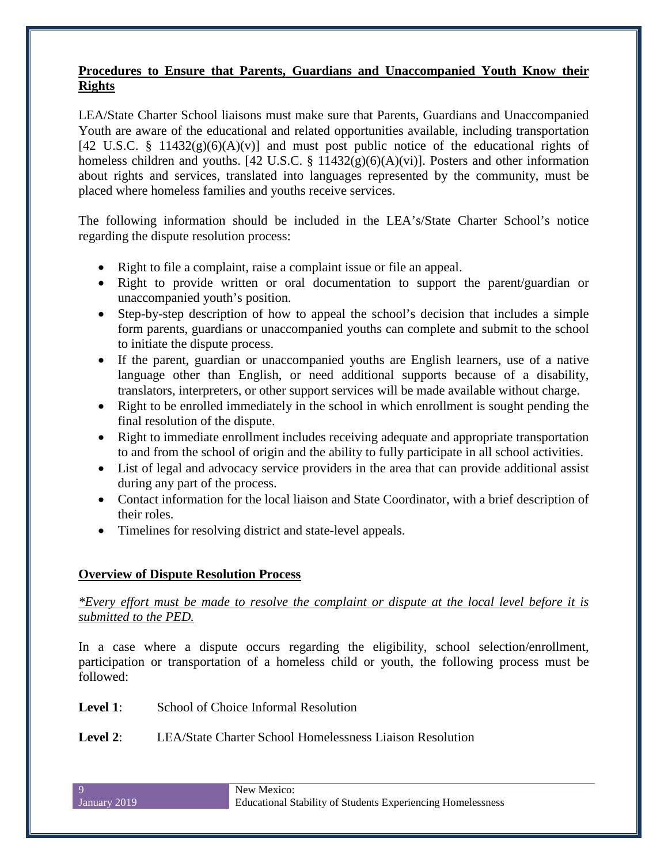## **Procedures to Ensure that Parents, Guardians and Unaccompanied Youth Know their Rights**

LEA/State Charter School liaisons must make sure that Parents, Guardians and Unaccompanied Youth are aware of the educational and related opportunities available, including transportation [42 U.S.C. § 11432(g)(6)(A)(v)] and must post public notice of the educational rights of homeless children and youths. [42 U.S.C. § 11432(g)(6)(A)(vi)]. Posters and other information about rights and services, translated into languages represented by the community, must be placed where homeless families and youths receive services.

The following information should be included in the LEA's/State Charter School's notice regarding the dispute resolution process:

- Right to file a complaint, raise a complaint issue or file an appeal.
- Right to provide written or oral documentation to support the parent/guardian or unaccompanied youth's position.
- Step-by-step description of how to appeal the school's decision that includes a simple form parents, guardians or unaccompanied youths can complete and submit to the school to initiate the dispute process.
- If the parent, guardian or unaccompanied youths are English learners, use of a native language other than English, or need additional supports because of a disability, translators, interpreters, or other support services will be made available without charge.
- Right to be enrolled immediately in the school in which enrollment is sought pending the final resolution of the dispute.
- Right to immediate enrollment includes receiving adequate and appropriate transportation to and from the school of origin and the ability to fully participate in all school activities.
- List of legal and advocacy service providers in the area that can provide additional assist during any part of the process.
- Contact information for the local liaison and State Coordinator, with a brief description of their roles.
- Timelines for resolving district and state-level appeals.

# **Overview of Dispute Resolution Process**

 $\overline{Q}$ 

January 2019

## *\*Every effort must be made to resolve the complaint or dispute at the local level before it is submitted to the PED.*

In a case where a dispute occurs regarding the eligibility, school selection/enrollment, participation or transportation of a homeless child or youth, the following process must be followed:

**Level 1**: School of Choice Informal Resolution

# **Level 2**: LEA/State Charter School Homelessness Liaison Resolution

New Mexico: Educational Stability of Students Experiencing Homelessness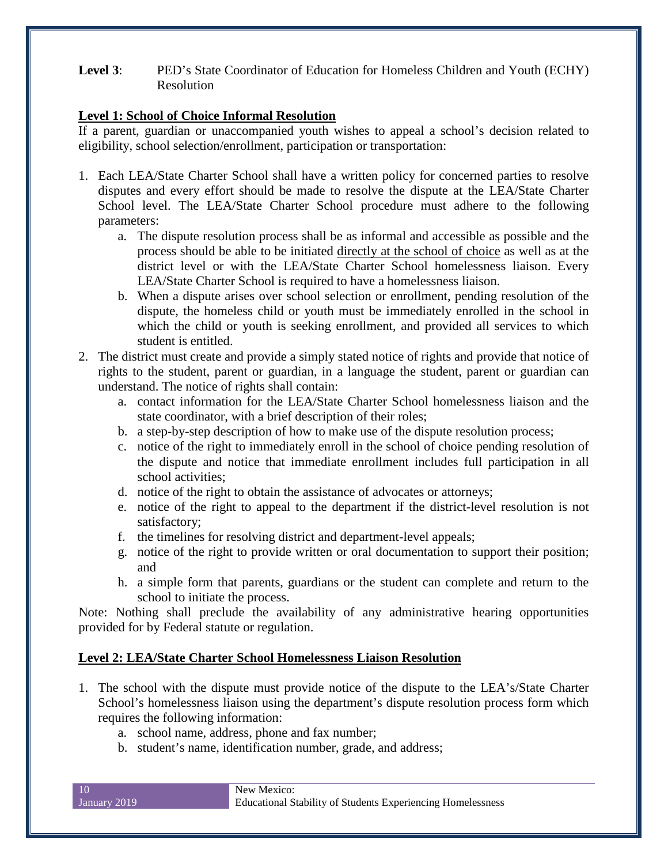**Level 3**: PED's State Coordinator of Education for Homeless Children and Youth (ECHY) Resolution

## **Level 1: School of Choice Informal Resolution**

If a parent, guardian or unaccompanied youth wishes to appeal a school's decision related to eligibility, school selection/enrollment, participation or transportation:

- 1. Each LEA/State Charter School shall have a written policy for concerned parties to resolve disputes and every effort should be made to resolve the dispute at the LEA/State Charter School level. The LEA/State Charter School procedure must adhere to the following parameters:
	- a. The dispute resolution process shall be as informal and accessible as possible and the process should be able to be initiated directly at the school of choice as well as at the district level or with the LEA/State Charter School homelessness liaison. Every LEA/State Charter School is required to have a homelessness liaison.
	- b. When a dispute arises over school selection or enrollment, pending resolution of the dispute, the homeless child or youth must be immediately enrolled in the school in which the child or youth is seeking enrollment, and provided all services to which student is entitled.
- 2. The district must create and provide a simply stated notice of rights and provide that notice of rights to the student, parent or guardian, in a language the student, parent or guardian can understand. The notice of rights shall contain:
	- a. contact information for the LEA/State Charter School homelessness liaison and the state coordinator, with a brief description of their roles;
	- b. a step-by-step description of how to make use of the dispute resolution process;
	- c. notice of the right to immediately enroll in the school of choice pending resolution of the dispute and notice that immediate enrollment includes full participation in all school activities;
	- d. notice of the right to obtain the assistance of advocates or attorneys;
	- e. notice of the right to appeal to the department if the district-level resolution is not satisfactory;
	- f. the timelines for resolving district and department-level appeals;
	- g. notice of the right to provide written or oral documentation to support their position; and
	- h. a simple form that parents, guardians or the student can complete and return to the school to initiate the process.

Note: Nothing shall preclude the availability of any administrative hearing opportunities provided for by Federal statute or regulation.

# **Level 2: LEA/State Charter School Homelessness Liaison Resolution**

- 1. The school with the dispute must provide notice of the dispute to the LEA's/State Charter School's homelessness liaison using the department's dispute resolution process form which requires the following information:
	- a. school name, address, phone and fax number;
	- b. student's name, identification number, grade, and address;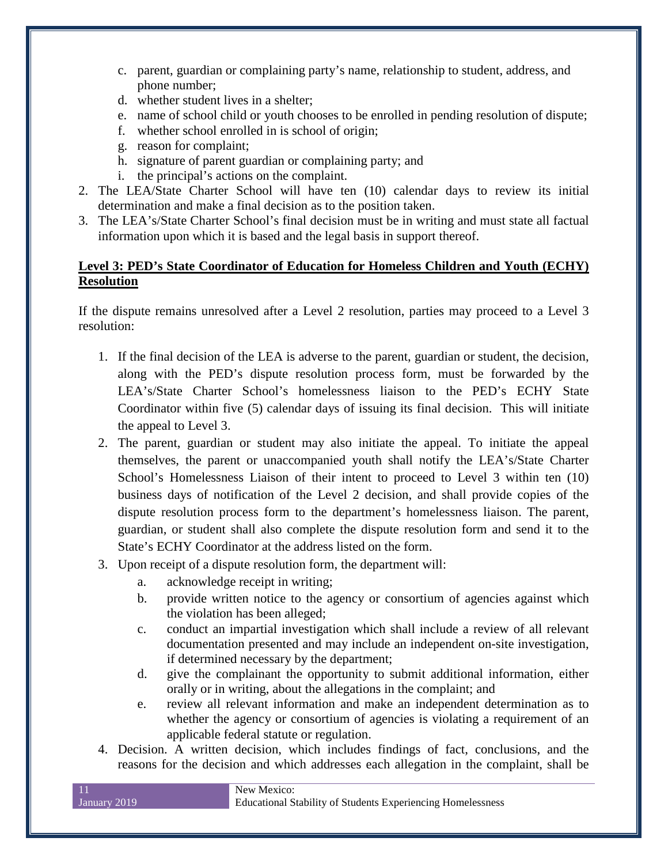- c. parent, guardian or complaining party's name, relationship to student, address, and phone number;
- d. whether student lives in a shelter;
- e. name of school child or youth chooses to be enrolled in pending resolution of dispute;
- f. whether school enrolled in is school of origin;
- g. reason for complaint;
- h. signature of parent guardian or complaining party; and
- i. the principal's actions on the complaint.
- 2. The LEA/State Charter School will have ten (10) calendar days to review its initial determination and make a final decision as to the position taken.
- 3. The LEA's/State Charter School's final decision must be in writing and must state all factual information upon which it is based and the legal basis in support thereof.

# **Level 3: PED's State Coordinator of Education for Homeless Children and Youth (ECHY) Resolution**

If the dispute remains unresolved after a Level 2 resolution, parties may proceed to a Level 3 resolution:

- 1. If the final decision of the LEA is adverse to the parent, guardian or student, the decision, along with the PED's dispute resolution process form, must be forwarded by the LEA's/State Charter School's homelessness liaison to the PED's ECHY State Coordinator within five (5) calendar days of issuing its final decision. This will initiate the appeal to Level 3.
- 2. The parent, guardian or student may also initiate the appeal. To initiate the appeal themselves, the parent or unaccompanied youth shall notify the LEA's/State Charter School's Homelessness Liaison of their intent to proceed to Level 3 within ten (10) business days of notification of the Level 2 decision, and shall provide copies of the dispute resolution process form to the department's homelessness liaison. The parent, guardian, or student shall also complete the dispute resolution form and send it to the State's ECHY Coordinator at the address listed on the form.
- 3. Upon receipt of a dispute resolution form, the department will:
	- a. acknowledge receipt in writing;
	- b. provide written notice to the agency or consortium of agencies against which the violation has been alleged;
	- c. conduct an impartial investigation which shall include a review of all relevant documentation presented and may include an independent on-site investigation, if determined necessary by the department;
	- d. give the complainant the opportunity to submit additional information, either orally or in writing, about the allegations in the complaint; and
	- e. review all relevant information and make an independent determination as to whether the agency or consortium of agencies is violating a requirement of an applicable federal statute or regulation.
- 4. Decision. A written decision, which includes findings of fact, conclusions, and the reasons for the decision and which addresses each allegation in the complaint, shall be